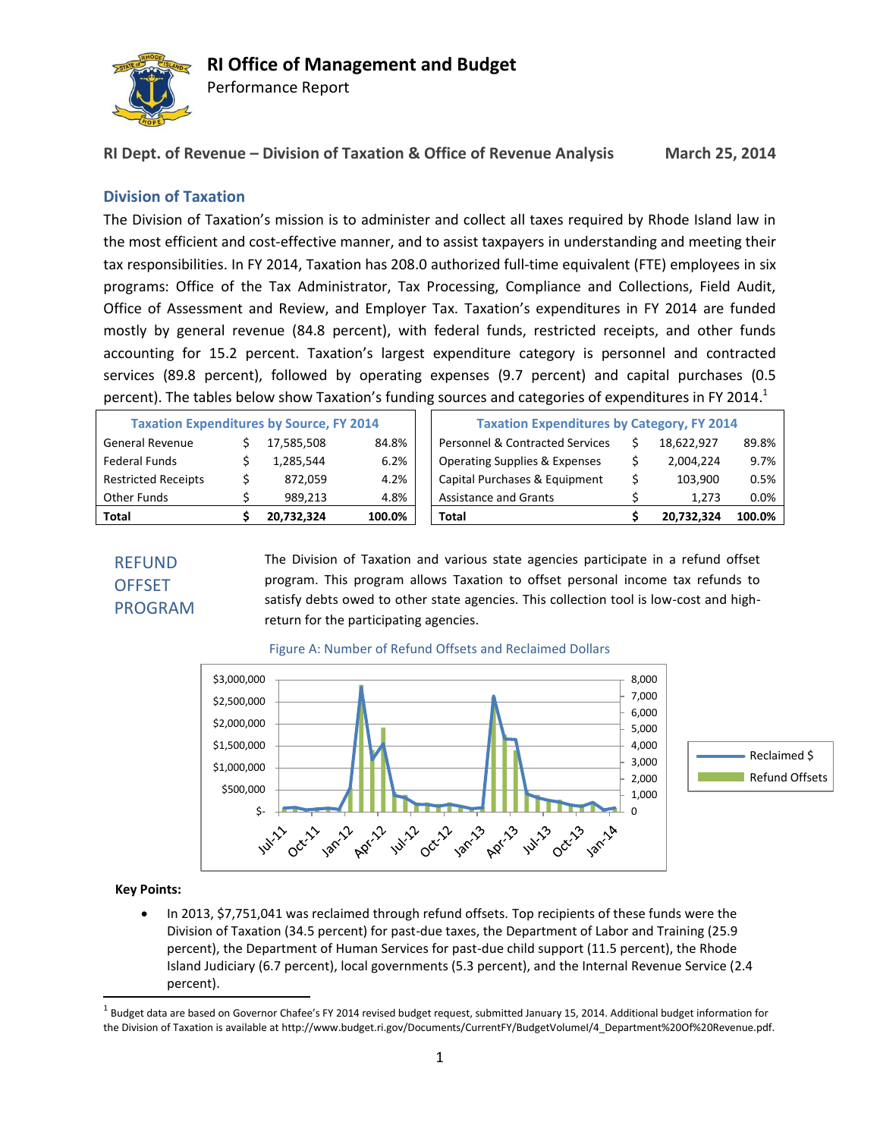

Performance Report

**RI Dept. of Revenue – Division of Taxation & Office of Revenue Analysis March 25, 2014**

## **Division of Taxation**

The Division of Taxation's mission is to administer and collect all taxes required by Rhode Island law in the most efficient and cost-effective manner, and to assist taxpayers in understanding and meeting their tax responsibilities. In FY 2014, Taxation has 208.0 authorized full-time equivalent (FTE) employees in six programs: Office of the Tax Administrator, Tax Processing, Compliance and Collections, Field Audit, Office of Assessment and Review, and Employer Tax. Taxation's expenditures in FY 2014 are funded mostly by general revenue (84.8 percent), with federal funds, restricted receipts, and other funds accounting for 15.2 percent. Taxation's largest expenditure category is personnel and contracted services (89.8 percent), followed by operating expenses (9.7 percent) and capital purchases (0.5 percent). The tables below show Taxation's funding sources and categories of expenditures in FY 2014.<sup>1</sup>

| <b>Total</b>                                    |  | 20.732.324 | 100.0% | Total                                             |  | 20.732.324 | 100.0% |
|-------------------------------------------------|--|------------|--------|---------------------------------------------------|--|------------|--------|
| Other Funds                                     |  | 989.213    | 4.8%   | <b>Assistance and Grants</b>                      |  | 1.273      | 0.0%   |
| <b>Restricted Receipts</b>                      |  | 872.059    | 4.2%   | Capital Purchases & Equipment                     |  | 103.900    | 0.5%   |
| Federal Funds                                   |  | 1,285,544  | 6.2%   | <b>Operating Supplies &amp; Expenses</b>          |  | 2,004,224  | 9.7%   |
| <b>General Revenue</b>                          |  | 17,585,508 | 84.8%  | Personnel & Contracted Services                   |  | 18.622.927 | 89.8%  |
| <b>Taxation Expenditures by Source, FY 2014</b> |  |            |        | <b>Taxation Expenditures by Category, FY 2014</b> |  |            |        |

## REFUND **OFFSET** PROGRAM

The Division of Taxation and various state agencies participate in a refund offset program. This program allows Taxation to offset personal income tax refunds to satisfy debts owed to other state agencies. This collection tool is low-cost and highreturn for the participating agencies.



### Figure A: Number of Refund Offsets and Reclaimed Dollars

### **Key Points:**

 $\overline{\phantom{a}}$ 

 In 2013, \$7,751,041 was reclaimed through refund offsets. Top recipients of these funds were the Division of Taxation (34.5 percent) for past-due taxes, the Department of Labor and Training (25.9 percent), the Department of Human Services for past-due child support (11.5 percent), the Rhode Island Judiciary (6.7 percent), local governments (5.3 percent), and the Internal Revenue Service (2.4 percent).

 $^{\rm 1}$  Budget data are based on Governor Chafee's FY 2014 revised budget request, submitted January 15, 2014. Additional budget information for the Division of Taxation is available at http://www.budget.ri.gov/Documents/CurrentFY/BudgetVolumeI/4\_Department%20Of%20Revenue.pdf.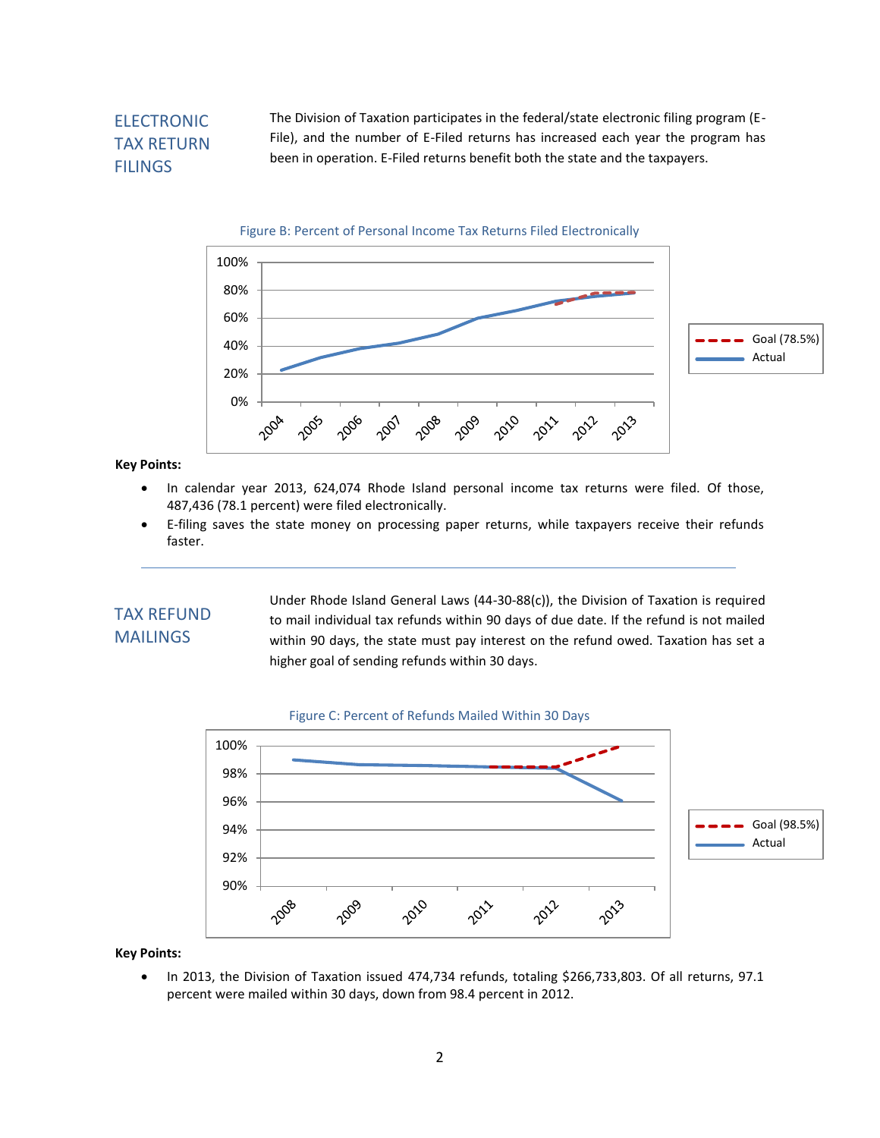## ELECTRONIC TAX RETURN **FILINGS**

The Division of Taxation participates in the federal/state electronic filing program (E-File), and the number of E-Filed returns has increased each year the program has been in operation. E-Filed returns benefit both the state and the taxpayers.





**Key Points:**

- In calendar year 2013, 624,074 Rhode Island personal income tax returns were filed. Of those, 487,436 (78.1 percent) were filed electronically.
- E-filing saves the state money on processing paper returns, while taxpayers receive their refunds faster.

## TAX REFUND MAILINGS

Under Rhode Island General Laws (44-30-88(c)), the Division of Taxation is required to mail individual tax refunds within 90 days of due date. If the refund is not mailed within 90 days, the state must pay interest on the refund owed. Taxation has set a higher goal of sending refunds within 30 days.





**Key Points:**

• In 2013, the Division of Taxation issued 474,734 refunds, totaling \$266,733,803. Of all returns, 97.1 percent were mailed within 30 days, down from 98.4 percent in 2012.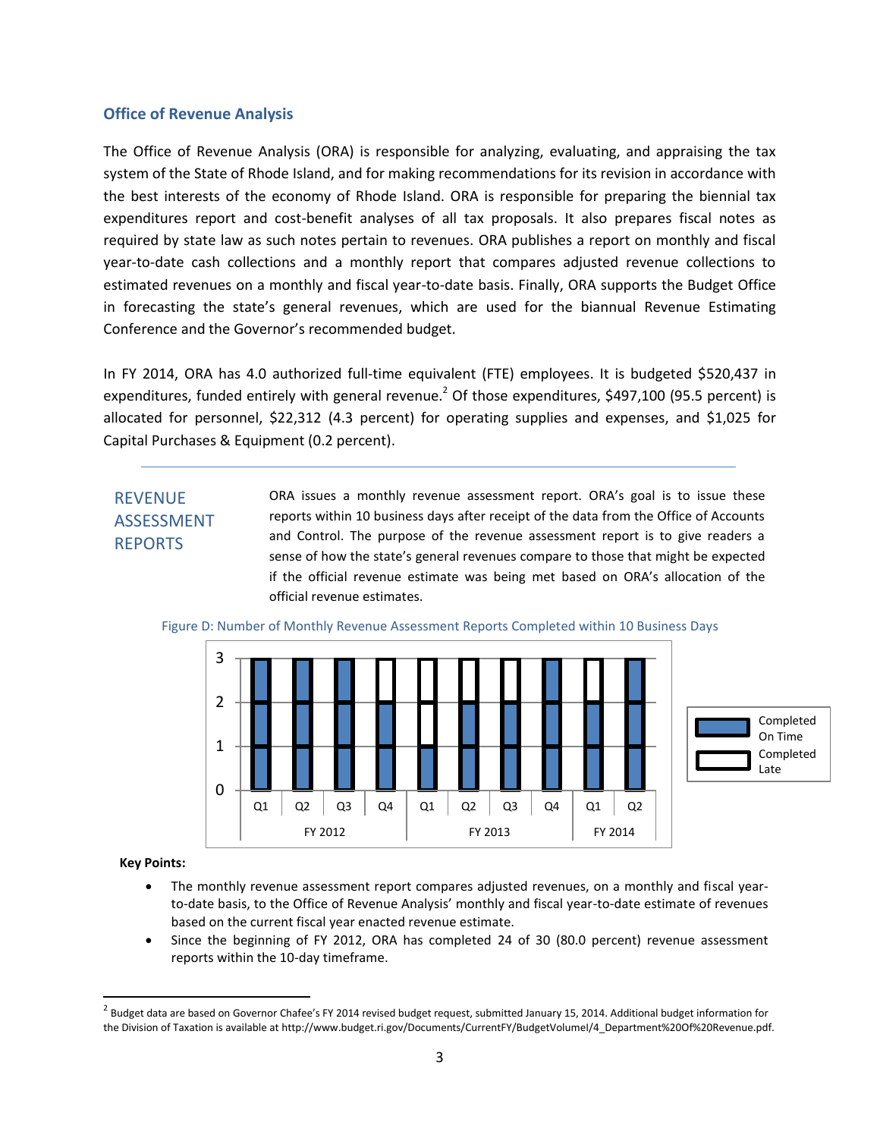### **Office of Revenue Analysis**

The Office of Revenue Analysis (ORA) is responsible for analyzing, evaluating, and appraising the tax system of the State of Rhode Island, and for making recommendations for its revision in accordance with the best interests of the economy of Rhode Island. ORA is responsible for preparing the biennial tax expenditures report and cost-benefit analyses of all tax proposals. It also prepares fiscal notes as required by state law as such notes pertain to revenues. ORA publishes a report on monthly and fiscal year-to-date cash collections and a monthly report that compares adjusted revenue collections to estimated revenues on a monthly and fiscal year-to-date basis. Finally, ORA supports the Budget Office in forecasting the state's general revenues, which are used for the biannual Revenue Estimating Conference and the Governor's recommended budget.

In FY 2014, ORA has 4.0 authorized full-time equivalent (FTE) employees. It is budgeted \$520,437 in expenditures, funded entirely with general revenue.<sup>2</sup> Of those expenditures, \$497,100 (95.5 percent) is allocated for personnel, \$22,312 (4.3 percent) for operating supplies and expenses, and \$1,025 for Capital Purchases & Equipment (0.2 percent).

## REVENUE ASSESSMENT REPORTS

ORA issues a monthly revenue assessment report. ORA's goal is to issue these reports within 10 business days after receipt of the data from the Office of Accounts and Control. The purpose of the revenue assessment report is to give readers a sense of how the state's general revenues compare to those that might be expected if the official revenue estimate was being met based on ORA's allocation of the official revenue estimates.



Figure D: Number of Monthly Revenue Assessment Reports Completed within 10 Business Days

#### **Key Points:**

 $\overline{\phantom{a}}$ 

- The monthly revenue assessment report compares adjusted revenues, on a monthly and fiscal yearto-date basis, to the Office of Revenue Analysis' monthly and fiscal year-to-date estimate of revenues based on the current fiscal year enacted revenue estimate.
- Since the beginning of FY 2012, ORA has completed 24 of 30 (80.0 percent) revenue assessment reports within the 10-day timeframe.

 $^2$  Budget data are based on Governor Chafee's FY 2014 revised budget request, submitted January 15, 2014. Additional budget information for the Division of Taxation is available at http://www.budget.ri.gov/Documents/CurrentFY/BudgetVolumeI/4\_Department%20Of%20Revenue.pdf.